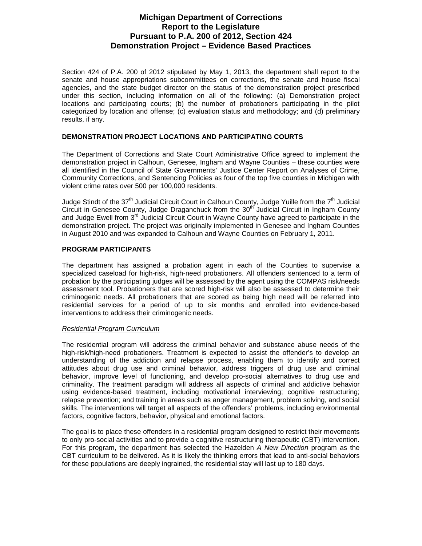# **Michigan Department of Corrections Report to the Legislature Pursuant to P.A. 200 of 2012, Section 424 Demonstration Project – Evidence Based Practices**

Section 424 of P.A. 200 of 2012 stipulated by May 1, 2013, the department shall report to the senate and house appropriations subcommittees on corrections, the senate and house fiscal agencies, and the state budget director on the status of the demonstration project prescribed under this section, including information on all of the following: (a) Demonstration project locations and participating courts; (b) the number of probationers participating in the pilot categorized by location and offense; (c) evaluation status and methodology; and (d) preliminary results, if any.

#### **DEMONSTRATION PROJECT LOCATIONS AND PARTICIPATING COURTS**

The Department of Corrections and State Court Administrative Office agreed to implement the demonstration project in Calhoun, Genesee, Ingham and Wayne Counties – these counties were all identified in the Council of State Governments' Justice Center Report on Analyses of Crime, Community Corrections, and Sentencing Policies as four of the top five counties in Michigan with violent crime rates over 500 per 100,000 residents.

Judge Stindt of the 37<sup>th</sup> Judicial Circuit Court in Calhoun County, Judge Yuille from the 7<sup>th</sup> Judicial Circuit in Genesee County, Judge Draganchuck from the 30<sup>th</sup> Judicial Circuit in Ingham County and Judge Ewell from 3<sup>rd</sup> Judicial Circuit Court in Wayne County have agreed to participate in the demonstration project. The project was originally implemented in Genesee and Ingham Counties in August 2010 and was expanded to Calhoun and Wayne Counties on February 1, 2011.

### **PROGRAM PARTICIPANTS**

The department has assigned a probation agent in each of the Counties to supervise a specialized caseload for high-risk, high-need probationers. All offenders sentenced to a term of probation by the participating judges will be assessed by the agent using the COMPAS risk/needs assessment tool. Probationers that are scored high-risk will also be assessed to determine their criminogenic needs. All probationers that are scored as being high need will be referred into residential services for a period of up to six months and enrolled into evidence-based interventions to address their criminogenic needs.

#### Residential Program Curriculum

The residential program will address the criminal behavior and substance abuse needs of the high-risk/high-need probationers. Treatment is expected to assist the offender's to develop an understanding of the addiction and relapse process, enabling them to identify and correct attitudes about drug use and criminal behavior, address triggers of drug use and criminal behavior, improve level of functioning, and develop pro-social alternatives to drug use and criminality. The treatment paradigm will address all aspects of criminal and addictive behavior using evidence-based treatment, including motivational interviewing; cognitive restructuring; relapse prevention; and training in areas such as anger management, problem solving, and social skills. The interventions will target all aspects of the offenders' problems, including environmental factors, cognitive factors, behavior, physical and emotional factors.

The goal is to place these offenders in a residential program designed to restrict their movements to only pro-social activities and to provide a cognitive restructuring therapeutic (CBT) intervention. For this program, the department has selected the Hazelden A New Direction program as the CBT curriculum to be delivered. As it is likely the thinking errors that lead to anti-social behaviors for these populations are deeply ingrained, the residential stay will last up to 180 days.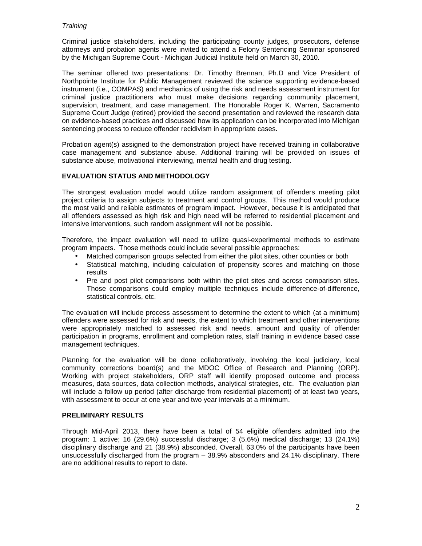## **Training**

Criminal justice stakeholders, including the participating county judges, prosecutors, defense attorneys and probation agents were invited to attend a Felony Sentencing Seminar sponsored by the Michigan Supreme Court - Michigan Judicial Institute held on March 30, 2010.

The seminar offered two presentations: Dr. Timothy Brennan, Ph.D and Vice President of Northpointe Institute for Public Management reviewed the science supporting evidence-based instrument (i.e., COMPAS) and mechanics of using the risk and needs assessment instrument for criminal justice practitioners who must make decisions regarding community placement, supervision, treatment, and case management. The Honorable Roger K. Warren, Sacramento Supreme Court Judge (retired) provided the second presentation and reviewed the research data on evidence-based practices and discussed how its application can be incorporated into Michigan sentencing process to reduce offender recidivism in appropriate cases.

Probation agent(s) assigned to the demonstration project have received training in collaborative case management and substance abuse. Additional training will be provided on issues of substance abuse, motivational interviewing, mental health and drug testing.

## **EVALUATION STATUS AND METHODOLOGY**

The strongest evaluation model would utilize random assignment of offenders meeting pilot project criteria to assign subjects to treatment and control groups. This method would produce the most valid and reliable estimates of program impact. However, because it is anticipated that all offenders assessed as high risk and high need will be referred to residential placement and intensive interventions, such random assignment will not be possible.

Therefore, the impact evaluation will need to utilize quasi-experimental methods to estimate program impacts. Those methods could include several possible approaches:

- Matched comparison groups selected from either the pilot sites, other counties or both
- Statistical matching, including calculation of propensity scores and matching on those results
- Pre and post pilot comparisons both within the pilot sites and across comparison sites. Those comparisons could employ multiple techniques include difference-of-difference, statistical controls, etc.

The evaluation will include process assessment to determine the extent to which (at a minimum) offenders were assessed for risk and needs, the extent to which treatment and other interventions were appropriately matched to assessed risk and needs, amount and quality of offender participation in programs, enrollment and completion rates, staff training in evidence based case management techniques.

Planning for the evaluation will be done collaboratively, involving the local judiciary, local community corrections board(s) and the MDOC Office of Research and Planning (ORP). Working with project stakeholders, ORP staff will identify proposed outcome and process measures, data sources, data collection methods, analytical strategies, etc. The evaluation plan will include a follow up period (after discharge from residential placement) of at least two years, with assessment to occur at one year and two year intervals at a minimum.

#### **PRELIMINARY RESULTS**

Through Mid-April 2013, there have been a total of 54 eligible offenders admitted into the program: 1 active; 16 (29.6%) successful discharge; 3 (5.6%) medical discharge; 13 (24.1%) disciplinary discharge and 21 (38.9%) absconded. Overall, 63.0% of the participants have been unsuccessfully discharged from the program – 38.9% absconders and 24.1% disciplinary. There are no additional results to report to date.